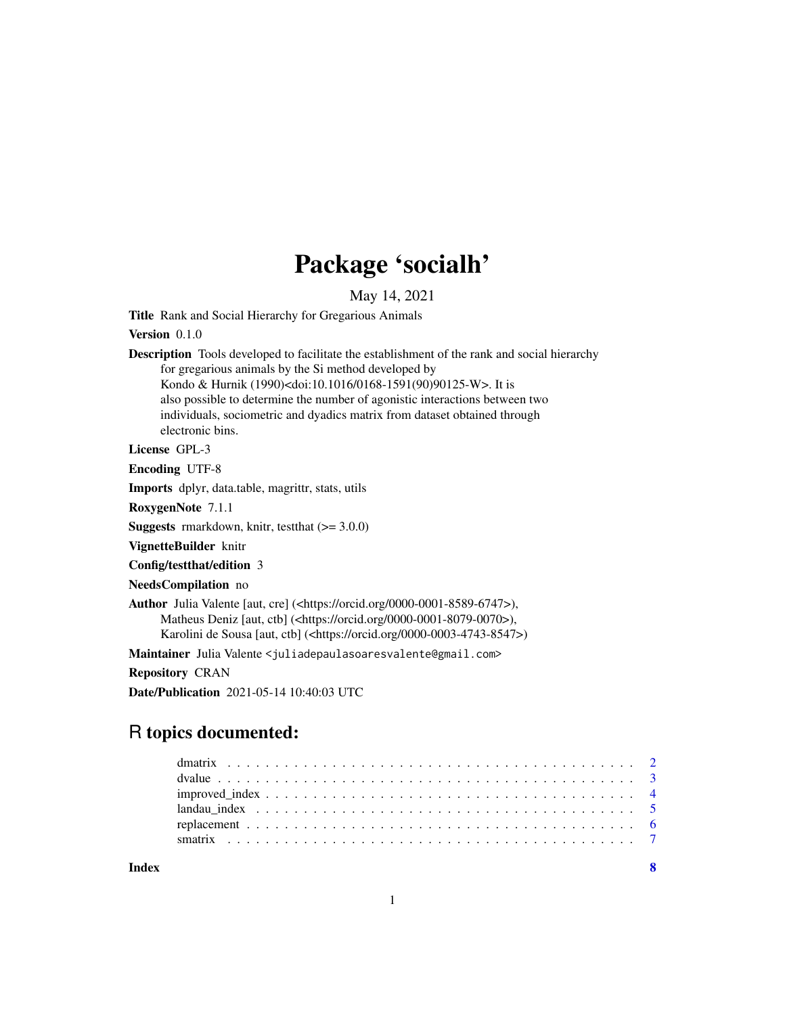## Package 'socialh'

May 14, 2021

Title Rank and Social Hierarchy for Gregarious Animals

#### Version 0.1.0

Description Tools developed to facilitate the establishment of the rank and social hierarchy for gregarious animals by the Si method developed by Kondo & Hurnik (1990)<doi:10.1016/0168-1591(90)90125-W>. It is also possible to determine the number of agonistic interactions between two individuals, sociometric and dyadics matrix from dataset obtained through electronic bins.

#### License GPL-3

Encoding UTF-8

Imports dplyr, data.table, magrittr, stats, utils

RoxygenNote 7.1.1

**Suggests** rmarkdown, knitr, test that  $(>= 3.0.0)$ 

VignetteBuilder knitr

Config/testthat/edition 3

#### NeedsCompilation no

Author Julia Valente [aut, cre] (<https://orcid.org/0000-0001-8589-6747>), Matheus Deniz [aut, ctb] (<https://orcid.org/0000-0001-8079-0070>), Karolini de Sousa [aut, ctb] (<https://orcid.org/0000-0003-4743-8547>)

Maintainer Julia Valente <juliadepaulasoaresvalente@gmail.com>

Repository CRAN

Date/Publication 2021-05-14 10:40:03 UTC

## R topics documented:

| Index |  |  |  |  |  |  |  |  |  |  |  |  |  |  |  |  |  |  |
|-------|--|--|--|--|--|--|--|--|--|--|--|--|--|--|--|--|--|--|
|       |  |  |  |  |  |  |  |  |  |  |  |  |  |  |  |  |  |  |
|       |  |  |  |  |  |  |  |  |  |  |  |  |  |  |  |  |  |  |
|       |  |  |  |  |  |  |  |  |  |  |  |  |  |  |  |  |  |  |
|       |  |  |  |  |  |  |  |  |  |  |  |  |  |  |  |  |  |  |
|       |  |  |  |  |  |  |  |  |  |  |  |  |  |  |  |  |  |  |
|       |  |  |  |  |  |  |  |  |  |  |  |  |  |  |  |  |  |  |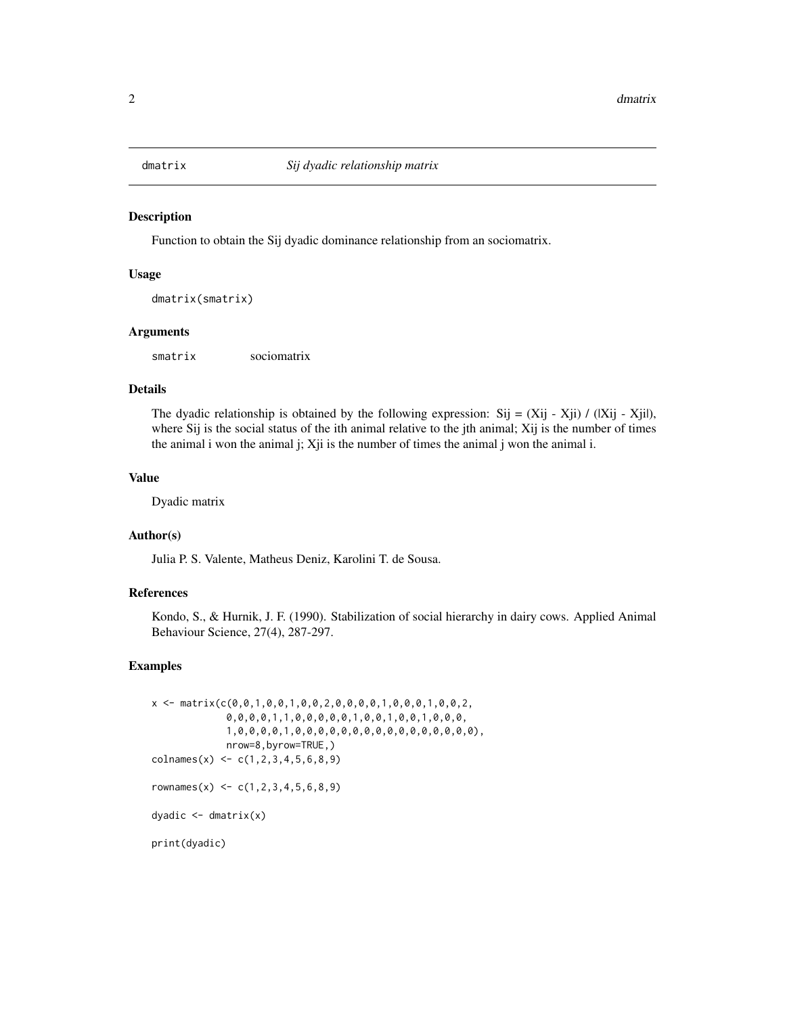<span id="page-1-0"></span>

#### Description

Function to obtain the Sij dyadic dominance relationship from an sociomatrix.

#### Usage

```
dmatrix(smatrix)
```
#### Arguments

smatrix sociomatrix

#### Details

The dyadic relationship is obtained by the following expression: Sij =  $(X_ii - X_ii) / (|X_ii - X_ii|)$ , where Sij is the social status of the ith animal relative to the jth animal; Xij is the number of times the animal i won the animal j; Xji is the number of times the animal j won the animal i.

#### Value

Dyadic matrix

### Author(s)

Julia P. S. Valente, Matheus Deniz, Karolini T. de Sousa.

#### References

Kondo, S., & Hurnik, J. F. (1990). Stabilization of social hierarchy in dairy cows. Applied Animal Behaviour Science, 27(4), 287-297.

#### Examples

```
x \leq - matrix(c(0,0,1,0,0,1,0,0,2,0,0,0,0,1,0,0,0,1,0,0,2,
             0,0,0,0,1,1,0,0,0,0,0,1,0,0,1,0,0,1,0,0,0,
             1,0,0,0,0,1,0,0,0,0,0,0,0,0,0,0,0,0,0,0,0,0),
             nrow=8,byrow=TRUE,)
colnames(x) <- c(1,2,3,4,5,6,8,9)
rownames(x) <- c(1, 2, 3, 4, 5, 6, 8, 9)dyadic <- dmatrix(x)
print(dyadic)
```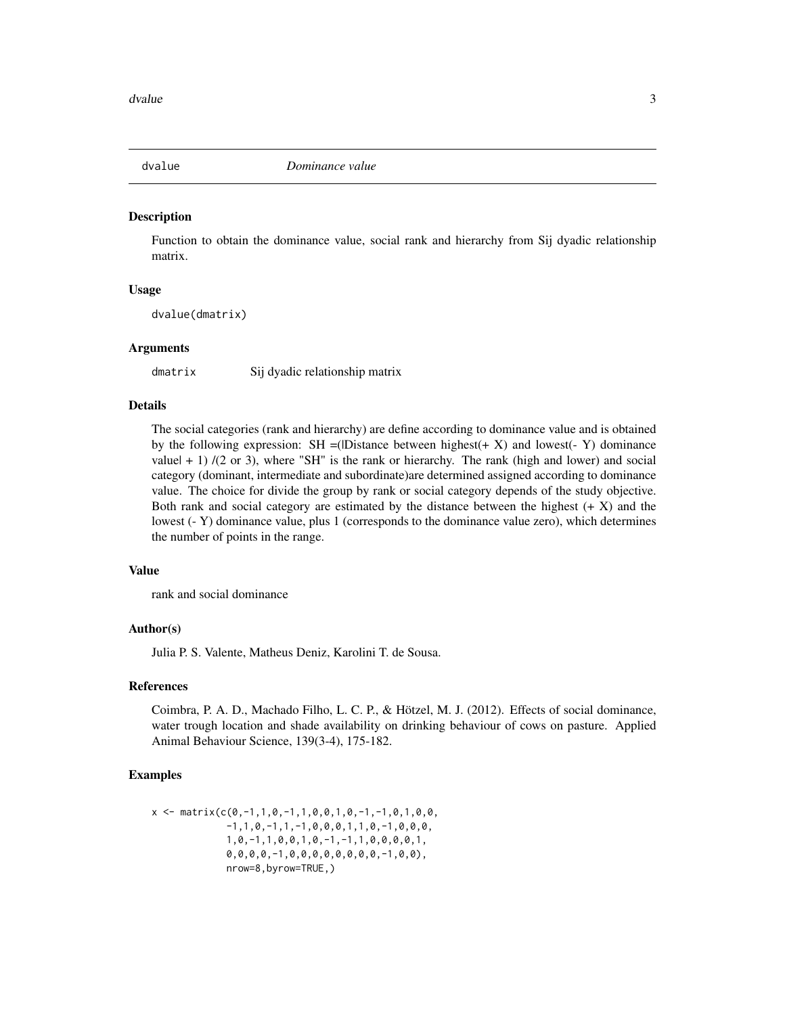<span id="page-2-0"></span>

#### Description

Function to obtain the dominance value, social rank and hierarchy from Sij dyadic relationship matrix.

#### Usage

dvalue(dmatrix)

#### Arguments

dmatrix Sij dyadic relationship matrix

#### Details

The social categories (rank and hierarchy) are define according to dominance value and is obtained by the following expression:  $SH = (IDistance between highest(+ X) and lowest(- Y) dominance$ value $(+ 1)$  /(2 or 3), where "SH" is the rank or hierarchy. The rank (high and lower) and social category (dominant, intermediate and subordinate)are determined assigned according to dominance value. The choice for divide the group by rank or social category depends of the study objective. Both rank and social category are estimated by the distance between the highest  $(+ X)$  and the lowest (- Y) dominance value, plus 1 (corresponds to the dominance value zero), which determines the number of points in the range.

#### Value

rank and social dominance

#### Author(s)

Julia P. S. Valente, Matheus Deniz, Karolini T. de Sousa.

#### References

Coimbra, P. A. D., Machado Filho, L. C. P., & Hötzel, M. J. (2012). Effects of social dominance, water trough location and shade availability on drinking behaviour of cows on pasture. Applied Animal Behaviour Science, 139(3-4), 175-182.

#### Examples

```
x \leq - matrix(c(0,-1,1,0,-1,1,0,0,1,0,-1,-1,0,1,0,0,
             -1,1,0,-1,1,-1,0,0,0,1,1,0,-1,0,0,0,1,0,-1,1,0,0,1,0,-1,-1,1,0,0,0,0,1,
             0,0,0,0,-1,0,0,0,0,0,0,0,0,-1,0,0),
             nrow=8,byrow=TRUE,)
```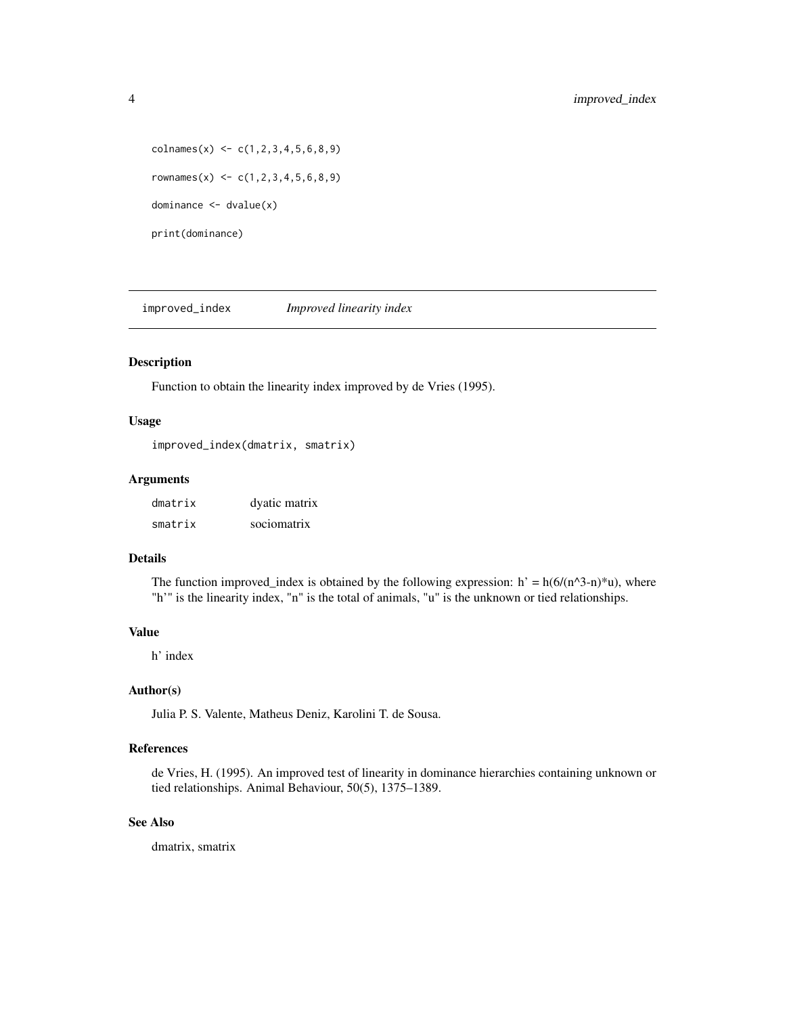```
\text{colnames}(x) \leftarrow c(1,2,3,4,5,6,8,9)rownames(x) <- c(1, 2, 3, 4, 5, 6, 8, 9)dominance <- dvalue(x)
print(dominance)
```
improved\_index *Improved linearity index*

#### Description

Function to obtain the linearity index improved by de Vries (1995).

#### Usage

improved\_index(dmatrix, smatrix)

#### Arguments

| dmatrix | dyatic matrix |
|---------|---------------|
| smatrix | sociomatrix   |

#### Details

The function improved\_index is obtained by the following expression:  $h' = h(6/(n^2-n)*u)$ , where "h'" is the linearity index, "n" is the total of animals, "u" is the unknown or tied relationships.

#### Value

h' index

#### Author(s)

Julia P. S. Valente, Matheus Deniz, Karolini T. de Sousa.

#### References

de Vries, H. (1995). An improved test of linearity in dominance hierarchies containing unknown or tied relationships. Animal Behaviour, 50(5), 1375–1389.

#### See Also

dmatrix, smatrix

<span id="page-3-0"></span>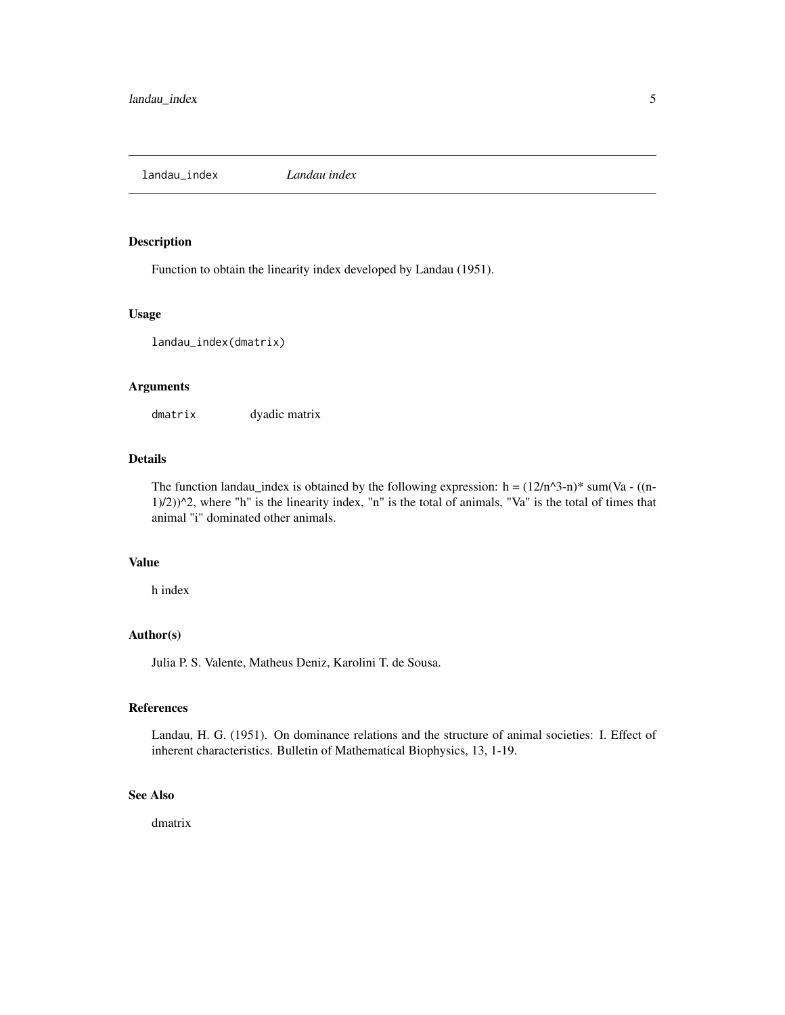<span id="page-4-0"></span>landau\_index *Landau index*

#### Description

Function to obtain the linearity index developed by Landau (1951).

#### Usage

landau\_index(dmatrix)

#### Arguments

dmatrix dyadic matrix

### Details

The function landau\_index is obtained by the following expression:  $h = (12/n^3-n)^*$  sum(Va - ((n- $1/2)$ ) $^{\wedge}$ 2, where "h" is the linearity index, "n" is the total of animals, "Va" is the total of times that animal "i" dominated other animals.

#### Value

h index

#### Author(s)

Julia P. S. Valente, Matheus Deniz, Karolini T. de Sousa.

#### References

Landau, H. G. (1951). On dominance relations and the structure of animal societies: I. Effect of inherent characteristics. Bulletin of Mathematical Biophysics, 13, 1-19.

#### See Also

dmatrix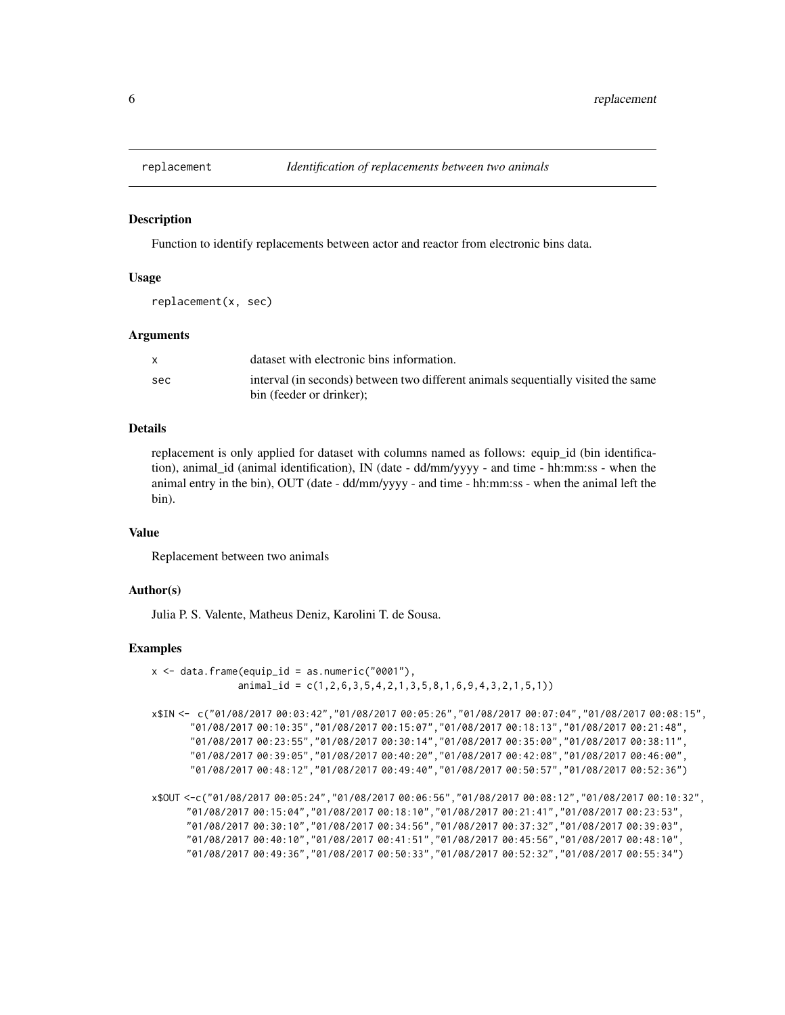<span id="page-5-0"></span>

#### **Description**

Function to identify replacements between actor and reactor from electronic bins data.

#### Usage

```
replacement(x, sec)
```
#### Arguments

|     | dataset with electronic bins information.                                                                     |
|-----|---------------------------------------------------------------------------------------------------------------|
| sec | interval (in seconds) between two different animals sequentially visited the same<br>bin (feeder or drinker): |

#### Details

replacement is only applied for dataset with columns named as follows: equip id (bin identification), animal\_id (animal identification), IN (date - dd/mm/yyyy - and time - hh:mm:ss - when the animal entry in the bin), OUT (date - dd/mm/yyyy - and time - hh:mm:ss - when the animal left the bin).

#### Value

Replacement between two animals

#### Author(s)

Julia P. S. Valente, Matheus Deniz, Karolini T. de Sousa.

#### Examples

- $x \le -$  data.frame(equip\_id = as.numeric("0001"), animal\_id = c(1,2,6,3,5,4,2,1,3,5,8,1,6,9,4,3,2,1,5,1))
- x\$IN <- c("01/08/2017 00:03:42","01/08/2017 00:05:26","01/08/2017 00:07:04","01/08/2017 00:08:15", "01/08/2017 00:10:35","01/08/2017 00:15:07","01/08/2017 00:18:13","01/08/2017 00:21:48", "01/08/2017 00:23:55","01/08/2017 00:30:14","01/08/2017 00:35:00","01/08/2017 00:38:11", "01/08/2017 00:39:05","01/08/2017 00:40:20","01/08/2017 00:42:08","01/08/2017 00:46:00", "01/08/2017 00:48:12","01/08/2017 00:49:40","01/08/2017 00:50:57","01/08/2017 00:52:36")

x\$OUT <-c("01/08/2017 00:05:24","01/08/2017 00:06:56","01/08/2017 00:08:12","01/08/2017 00:10:32", "01/08/2017 00:15:04","01/08/2017 00:18:10","01/08/2017 00:21:41","01/08/2017 00:23:53", "01/08/2017 00:30:10","01/08/2017 00:34:56","01/08/2017 00:37:32","01/08/2017 00:39:03", "01/08/2017 00:40:10","01/08/2017 00:41:51","01/08/2017 00:45:56","01/08/2017 00:48:10", "01/08/2017 00:49:36","01/08/2017 00:50:33","01/08/2017 00:52:32","01/08/2017 00:55:34")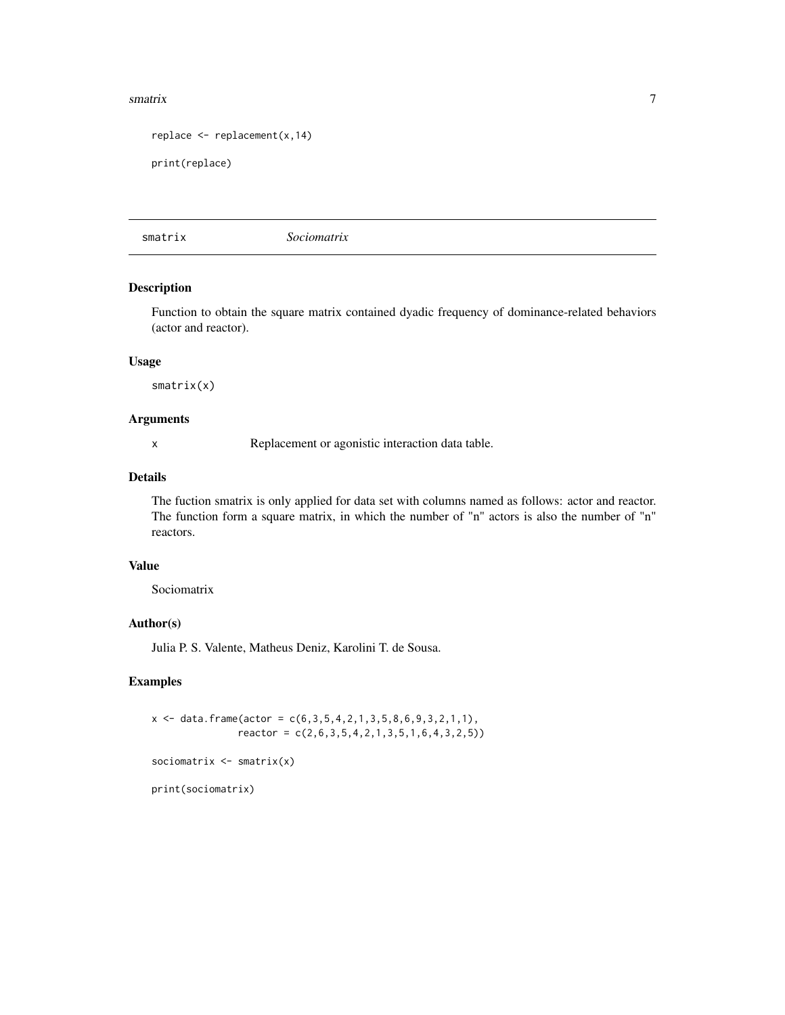#### <span id="page-6-0"></span>smatrix 7

```
replace \leq replacement(x, 14)
```

```
print(replace)
```
smatrix *Sociomatrix*

#### Description

Function to obtain the square matrix contained dyadic frequency of dominance-related behaviors (actor and reactor).

#### Usage

smatrix(x)

#### Arguments

x Replacement or agonistic interaction data table.

#### Details

The fuction smatrix is only applied for data set with columns named as follows: actor and reactor. The function form a square matrix, in which the number of "n" actors is also the number of "n" reactors.

#### Value

Sociomatrix

#### Author(s)

Julia P. S. Valente, Matheus Deniz, Karolini T. de Sousa.

#### Examples

```
x \le - data.frame(actor = c(6,3,5,4,2,1,3,5,8,6,9,3,2,1,1),
               reactor = c(2,6,3,5,4,2,1,3,5,1,6,4,3,2,5))
```
sociomatrix <- smatrix(x)

print(sociomatrix)